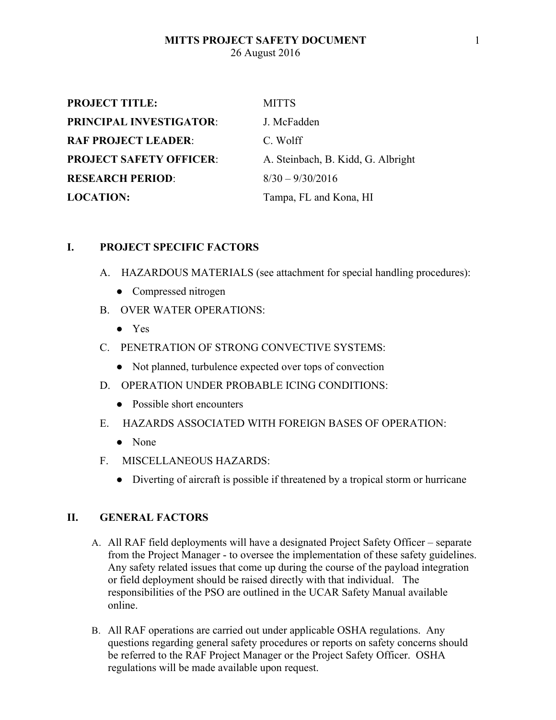| <b>PROJECT TITLE:</b>          | <b>MITTS</b>                       |
|--------------------------------|------------------------------------|
| <b>PRINCIPAL INVESTIGATOR:</b> | J. McFadden                        |
| <b>RAF PROJECT LEADER:</b>     | C. Wolff                           |
| <b>PROJECT SAFETY OFFICER:</b> | A. Steinbach, B. Kidd, G. Albright |
| <b>RESEARCH PERIOD:</b>        | $8/30 - 9/30/2016$                 |
| <b>LOCATION:</b>               | Tampa, FL and Kona, HI             |

## **I. PROJECT SPECIFIC FACTORS**

- A. HAZARDOUS MATERIALS (see attachment for special handling procedures):
	- Compressed nitrogen
- B. OVER WATER OPERATIONS:
	- Yes
- C. PENETRATION OF STRONG CONVECTIVE SYSTEMS:
	- Not planned, turbulence expected over tops of convection
- D. OPERATION UNDER PROBABLE ICING CONDITIONS:
	- Possible short encounters
- E. HAZARDS ASSOCIATED WITH FOREIGN BASES OF OPERATION:
	- None
- F. MISCELLANEOUS HAZARDS:
	- Diverting of aircraft is possible if threatened by a tropical storm or hurricane

#### **II. GENERAL FACTORS**

- A. All RAF field deployments will have a designated Project Safety Officer separate from the Project Manager - to oversee the implementation of these safety guidelines. Any safety related issues that come up during the course of the payload integration or field deployment should be raised directly with that individual. The responsibilities of the PSO are outlined in the UCAR Safety Manual available online.
- B. All RAF operations are carried out under applicable OSHA regulations. Any questions regarding general safety procedures or reports on safety concerns should be referred to the RAF Project Manager or the Project Safety Officer. OSHA regulations will be made available upon request.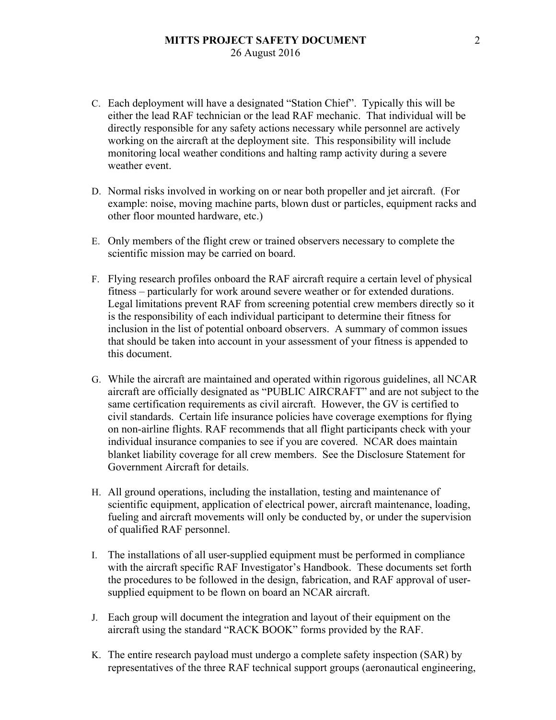- C. Each deployment will have a designated "Station Chief". Typically this will be either the lead RAF technician or the lead RAF mechanic. That individual will be directly responsible for any safety actions necessary while personnel are actively working on the aircraft at the deployment site. This responsibility will include monitoring local weather conditions and halting ramp activity during a severe weather event.
- D. Normal risks involved in working on or near both propeller and jet aircraft. (For example: noise, moving machine parts, blown dust or particles, equipment racks and other floor mounted hardware, etc.)
- E. Only members of the flight crew or trained observers necessary to complete the scientific mission may be carried on board.
- F. Flying research profiles onboard the RAF aircraft require a certain level of physical fitness – particularly for work around severe weather or for extended durations. Legal limitations prevent RAF from screening potential crew members directly so it is the responsibility of each individual participant to determine their fitness for inclusion in the list of potential onboard observers. A summary of common issues that should be taken into account in your assessment of your fitness is appended to this document.
- G. While the aircraft are maintained and operated within rigorous guidelines, all NCAR aircraft are officially designated as "PUBLIC AIRCRAFT" and are not subject to the same certification requirements as civil aircraft. However, the GV is certified to civil standards. Certain life insurance policies have coverage exemptions for flying on non-airline flights. RAF recommends that all flight participants check with your individual insurance companies to see if you are covered. NCAR does maintain blanket liability coverage for all crew members. See the Disclosure Statement for Government Aircraft for details.
- H. All ground operations, including the installation, testing and maintenance of scientific equipment, application of electrical power, aircraft maintenance, loading, fueling and aircraft movements will only be conducted by, or under the supervision of qualified RAF personnel.
- I. The installations of all user-supplied equipment must be performed in compliance with the aircraft specific RAF Investigator's Handbook. These documents set forth the procedures to be followed in the design, fabrication, and RAF approval of usersupplied equipment to be flown on board an NCAR aircraft.
- J. Each group will document the integration and layout of their equipment on the aircraft using the standard "RACK BOOK" forms provided by the RAF.
- K. The entire research payload must undergo a complete safety inspection (SAR) by representatives of the three RAF technical support groups (aeronautical engineering,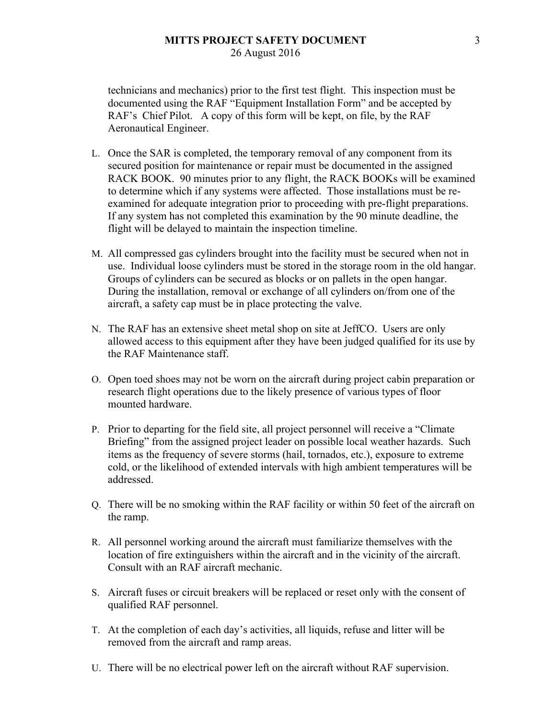technicians and mechanics) prior to the first test flight. This inspection must be documented using the RAF "Equipment Installation Form" and be accepted by RAF's Chief Pilot. A copy of this form will be kept, on file, by the RAF Aeronautical Engineer.

- L. Once the SAR is completed, the temporary removal of any component from its secured position for maintenance or repair must be documented in the assigned RACK BOOK. 90 minutes prior to any flight, the RACK BOOKs will be examined to determine which if any systems were affected. Those installations must be reexamined for adequate integration prior to proceeding with pre-flight preparations. If any system has not completed this examination by the 90 minute deadline, the flight will be delayed to maintain the inspection timeline.
- M. All compressed gas cylinders brought into the facility must be secured when not in use. Individual loose cylinders must be stored in the storage room in the old hangar. Groups of cylinders can be secured as blocks or on pallets in the open hangar. During the installation, removal or exchange of all cylinders on/from one of the aircraft, a safety cap must be in place protecting the valve.
- N. The RAF has an extensive sheet metal shop on site at JeffCO. Users are only allowed access to this equipment after they have been judged qualified for its use by the RAF Maintenance staff.
- O. Open toed shoes may not be worn on the aircraft during project cabin preparation or research flight operations due to the likely presence of various types of floor mounted hardware.
- P. Prior to departing for the field site, all project personnel will receive a "Climate Briefing" from the assigned project leader on possible local weather hazards. Such items as the frequency of severe storms (hail, tornados, etc.), exposure to extreme cold, or the likelihood of extended intervals with high ambient temperatures will be addressed.
- Q. There will be no smoking within the RAF facility or within 50 feet of the aircraft on the ramp.
- R. All personnel working around the aircraft must familiarize themselves with the location of fire extinguishers within the aircraft and in the vicinity of the aircraft. Consult with an RAF aircraft mechanic.
- S. Aircraft fuses or circuit breakers will be replaced or reset only with the consent of qualified RAF personnel.
- T. At the completion of each day's activities, all liquids, refuse and litter will be removed from the aircraft and ramp areas.
- U. There will be no electrical power left on the aircraft without RAF supervision.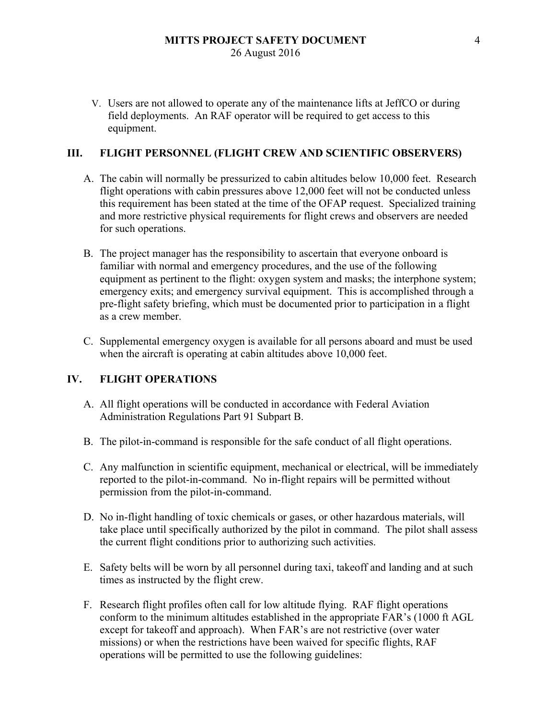V. Users are not allowed to operate any of the maintenance lifts at JeffCO or during field deployments. An RAF operator will be required to get access to this equipment.

## **III. FLIGHT PERSONNEL (FLIGHT CREW AND SCIENTIFIC OBSERVERS)**

- A. The cabin will normally be pressurized to cabin altitudes below 10,000 feet. Research flight operations with cabin pressures above 12,000 feet will not be conducted unless this requirement has been stated at the time of the OFAP request. Specialized training and more restrictive physical requirements for flight crews and observers are needed for such operations.
- B. The project manager has the responsibility to ascertain that everyone onboard is familiar with normal and emergency procedures, and the use of the following equipment as pertinent to the flight: oxygen system and masks; the interphone system; emergency exits; and emergency survival equipment. This is accomplished through a pre-flight safety briefing, which must be documented prior to participation in a flight as a crew member.
- C. Supplemental emergency oxygen is available for all persons aboard and must be used when the aircraft is operating at cabin altitudes above 10,000 feet.

#### **IV. FLIGHT OPERATIONS**

- A. All flight operations will be conducted in accordance with Federal Aviation Administration Regulations Part 91 Subpart B.
- B. The pilot-in-command is responsible for the safe conduct of all flight operations.
- C. Any malfunction in scientific equipment, mechanical or electrical, will be immediately reported to the pilot-in-command. No in-flight repairs will be permitted without permission from the pilot-in-command.
- D. No in-flight handling of toxic chemicals or gases, or other hazardous materials, will take place until specifically authorized by the pilot in command. The pilot shall assess the current flight conditions prior to authorizing such activities.
- E. Safety belts will be worn by all personnel during taxi, takeoff and landing and at such times as instructed by the flight crew.
- F. Research flight profiles often call for low altitude flying. RAF flight operations conform to the minimum altitudes established in the appropriate FAR's (1000 ft AGL except for takeoff and approach). When FAR's are not restrictive (over water missions) or when the restrictions have been waived for specific flights, RAF operations will be permitted to use the following guidelines: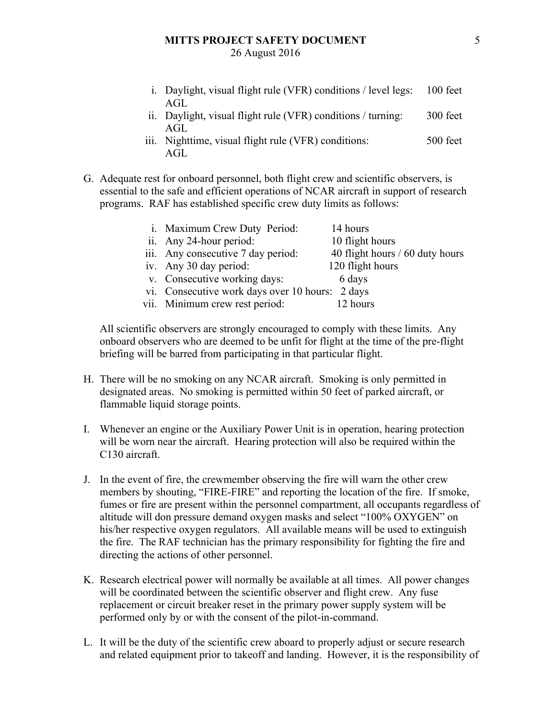# **MITTS PROJECT SAFETY DOCUMENT**

26 August 2016

- i. Daylight, visual flight rule (VFR) conditions / level legs: 100 feet AGL
- ii. Daylight, visual flight rule (VFR) conditions / turning: 300 feet AGL
- iii. Nighttime, visual flight rule (VFR) conditions: 500 feet AGL
- G. Adequate rest for onboard personnel, both flight crew and scientific observers, is essential to the safe and efficient operations of NCAR aircraft in support of research programs. RAF has established specific crew duty limits as follows:

| 14 hours                                                                                                                                                                                                                                     |
|----------------------------------------------------------------------------------------------------------------------------------------------------------------------------------------------------------------------------------------------|
| 10 flight hours                                                                                                                                                                                                                              |
| 40 flight hours / 60 duty hours                                                                                                                                                                                                              |
| 120 flight hours                                                                                                                                                                                                                             |
| 6 days                                                                                                                                                                                                                                       |
|                                                                                                                                                                                                                                              |
| 12 hours                                                                                                                                                                                                                                     |
| i. Maximum Crew Duty Period:<br>ii. Any 24-hour period:<br>iii. Any consecutive 7 day period:<br>iv. Any 30 day period:<br>v. Consecutive working days:<br>vi. Consecutive work days over 10 hours: 2 days<br>vii. Minimum crew rest period: |

All scientific observers are strongly encouraged to comply with these limits. Any onboard observers who are deemed to be unfit for flight at the time of the pre-flight briefing will be barred from participating in that particular flight.

- H. There will be no smoking on any NCAR aircraft. Smoking is only permitted in designated areas. No smoking is permitted within 50 feet of parked aircraft, or flammable liquid storage points.
- I. Whenever an engine or the Auxiliary Power Unit is in operation, hearing protection will be worn near the aircraft. Hearing protection will also be required within the C130 aircraft.
- J. In the event of fire, the crewmember observing the fire will warn the other crew members by shouting, "FIRE-FIRE" and reporting the location of the fire. If smoke, fumes or fire are present within the personnel compartment, all occupants regardless of altitude will don pressure demand oxygen masks and select "100% OXYGEN" on his/her respective oxygen regulators. All available means will be used to extinguish the fire. The RAF technician has the primary responsibility for fighting the fire and directing the actions of other personnel.
- K. Research electrical power will normally be available at all times. All power changes will be coordinated between the scientific observer and flight crew. Any fuse replacement or circuit breaker reset in the primary power supply system will be performed only by or with the consent of the pilot-in-command.
- L. It will be the duty of the scientific crew aboard to properly adjust or secure research and related equipment prior to takeoff and landing. However, it is the responsibility of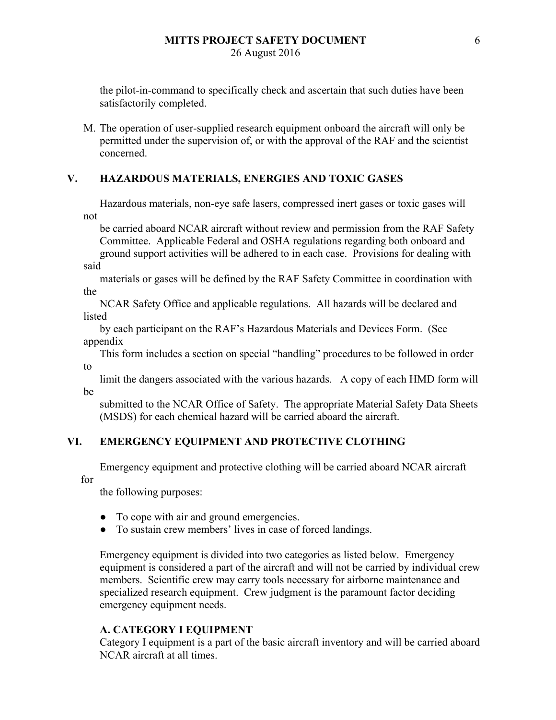the pilot-in-command to specifically check and ascertain that such duties have been satisfactorily completed.

M. The operation of user-supplied research equipment onboard the aircraft will only be permitted under the supervision of, or with the approval of the RAF and the scientist concerned.

## **V. HAZARDOUS MATERIALS, ENERGIES AND TOXIC GASES**

Hazardous materials, non-eye safe lasers, compressed inert gases or toxic gases will not

be carried aboard NCAR aircraft without review and permission from the RAF Safety Committee. Applicable Federal and OSHA regulations regarding both onboard and

ground support activities will be adhered to in each case. Provisions for dealing with said

materials or gases will be defined by the RAF Safety Committee in coordination with the

NCAR Safety Office and applicable regulations. All hazards will be declared and listed

by each participant on the RAF's Hazardous Materials and Devices Form. (See appendix

This form includes a section on special "handling" procedures to be followed in order to

limit the dangers associated with the various hazards. A copy of each HMD form will be

submitted to the NCAR Office of Safety. The appropriate Material Safety Data Sheets (MSDS) for each chemical hazard will be carried aboard the aircraft.

# **VI. EMERGENCY EQUIPMENT AND PROTECTIVE CLOTHING**

Emergency equipment and protective clothing will be carried aboard NCAR aircraft

for

the following purposes:

- To cope with air and ground emergencies.
- To sustain crew members' lives in case of forced landings.

Emergency equipment is divided into two categories as listed below. Emergency equipment is considered a part of the aircraft and will not be carried by individual crew members. Scientific crew may carry tools necessary for airborne maintenance and specialized research equipment. Crew judgment is the paramount factor deciding emergency equipment needs.

# **A. CATEGORY I EQUIPMENT**

Category I equipment is a part of the basic aircraft inventory and will be carried aboard NCAR aircraft at all times.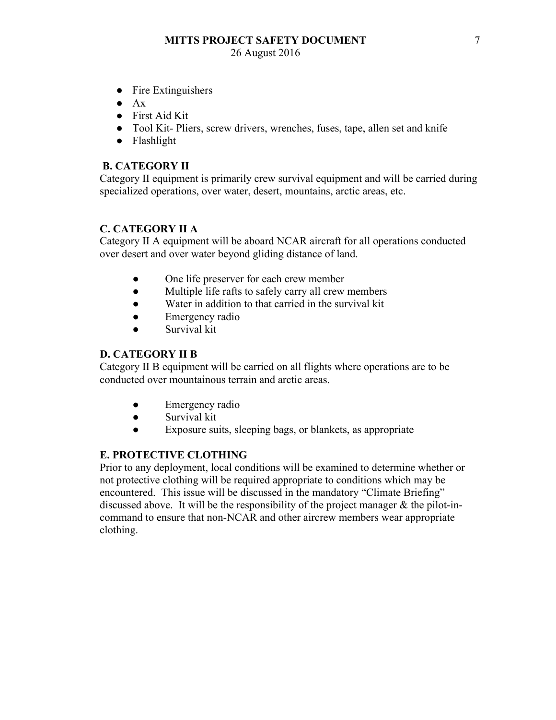- Fire Extinguishers
- $\bullet$  Ax
- First Aid Kit
- Tool Kit- Pliers, screw drivers, wrenches, fuses, tape, allen set and knife
- Flashlight

#### **B. CATEGORY II**

Category II equipment is primarily crew survival equipment and will be carried during specialized operations, over water, desert, mountains, arctic areas, etc.

#### **C. CATEGORY II A**

Category II A equipment will be aboard NCAR aircraft for all operations conducted over desert and over water beyond gliding distance of land.

- One life preserver for each crew member
- Multiple life rafts to safely carry all crew members
- Water in addition to that carried in the survival kit
- Emergency radio
- Survival kit

#### **D. CATEGORY II B**

Category II B equipment will be carried on all flights where operations are to be conducted over mountainous terrain and arctic areas.

- Emergency radio
- Survival kit
- Exposure suits, sleeping bags, or blankets, as appropriate

## **E. PROTECTIVE CLOTHING**

Prior to any deployment, local conditions will be examined to determine whether or not protective clothing will be required appropriate to conditions which may be encountered. This issue will be discussed in the mandatory "Climate Briefing" discussed above. It will be the responsibility of the project manager & the pilot-incommand to ensure that non-NCAR and other aircrew members wear appropriate clothing.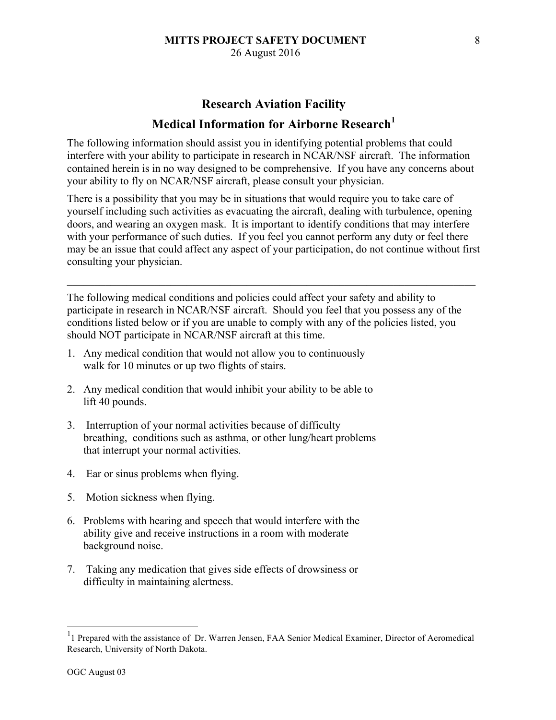# **Research Aviation Facility Medical Information for Airborne Research<sup>1</sup>**

The following information should assist you in identifying potential problems that could interfere with your ability to participate in research in NCAR/NSF aircraft. The information contained herein is in no way designed to be comprehensive. If you have any concerns about your ability to fly on NCAR/NSF aircraft, please consult your physician.

There is a possibility that you may be in situations that would require you to take care of yourself including such activities as evacuating the aircraft, dealing with turbulence, opening doors, and wearing an oxygen mask. It is important to identify conditions that may interfere with your performance of such duties. If you feel you cannot perform any duty or feel there may be an issue that could affect any aspect of your participation, do not continue without first consulting your physician.

 $\mathcal{L}_\text{max} = \frac{1}{2} \sum_{i=1}^n \mathcal{L}_\text{max}(\mathbf{z}_i - \mathbf{z}_i)$ 

The following medical conditions and policies could affect your safety and ability to participate in research in NCAR/NSF aircraft. Should you feel that you possess any of the conditions listed below or if you are unable to comply with any of the policies listed, you should NOT participate in NCAR/NSF aircraft at this time.

- 1. Any medical condition that would not allow you to continuously walk for 10 minutes or up two flights of stairs.
- 2. Any medical condition that would inhibit your ability to be able to lift 40 pounds.
- 3. Interruption of your normal activities because of difficulty breathing, conditions such as asthma, or other lung/heart problems that interrupt your normal activities.
- 4. Ear or sinus problems when flying.
- 5. Motion sickness when flying.
- 6. Problems with hearing and speech that would interfere with the ability give and receive instructions in a room with moderate background noise.
- 7. Taking any medication that gives side effects of drowsiness or difficulty in maintaining alertness.

<sup>&</sup>lt;sup>1</sup> Prepared with the assistance of Dr. Warren Jensen, FAA Senior Medical Examiner, Director of Aeromedical Research, University of North Dakota.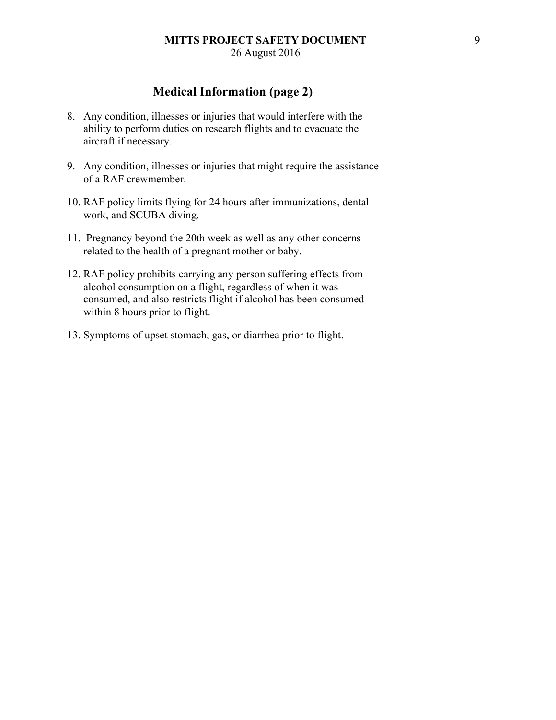# **Medical Information (page 2)**

- 8. Any condition, illnesses or injuries that would interfere with the ability to perform duties on research flights and to evacuate the aircraft if necessary.
- 9. Any condition, illnesses or injuries that might require the assistance of a RAF crewmember.
- 10. RAF policy limits flying for 24 hours after immunizations, dental work, and SCUBA diving.
- 11. Pregnancy beyond the 20th week as well as any other concerns related to the health of a pregnant mother or baby.
- 12. RAF policy prohibits carrying any person suffering effects from alcohol consumption on a flight, regardless of when it was consumed, and also restricts flight if alcohol has been consumed within 8 hours prior to flight.
- 13. Symptoms of upset stomach, gas, or diarrhea prior to flight.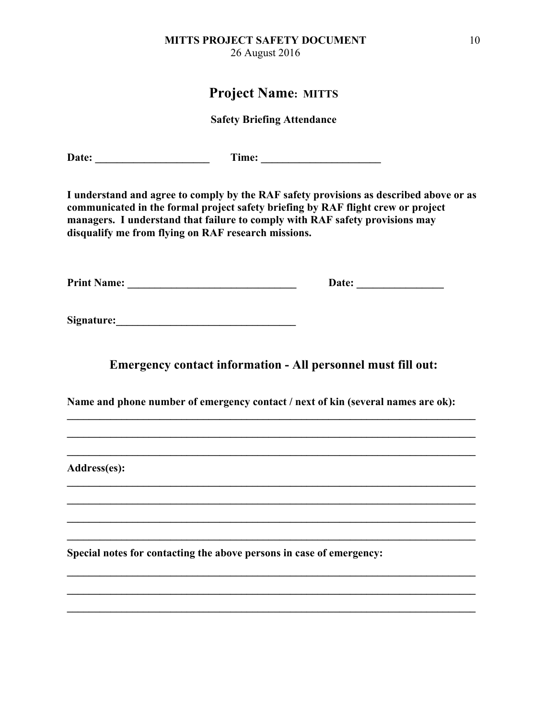# **Project Name: MITTS**

**Safety Briefing Attendance**

**Date: \_\_\_\_\_\_\_\_\_\_\_\_\_\_\_\_\_\_\_\_\_ Time: \_\_\_\_\_\_\_\_\_\_\_\_\_\_\_\_\_\_\_\_\_\_ I understand and agree to comply by the RAF safety provisions as described above or as communicated in the formal project safety briefing by RAF flight crew or project managers. I understand that failure to comply with RAF safety provisions may disqualify me from flying on RAF research missions. Print Name: \_\_\_\_\_\_\_\_\_\_\_\_\_\_\_\_\_\_\_\_\_\_\_\_\_\_\_\_\_\_\_ Date: \_\_\_\_\_\_\_\_\_\_\_\_\_\_\_\_ Signature:\_\_\_\_\_\_\_\_\_\_\_\_\_\_\_\_\_\_\_\_\_\_\_\_\_\_\_\_\_\_\_\_\_ Emergency contact information - All personnel must fill out: Name and phone number of emergency contact / next of kin (several names are ok):**   $\mathcal{L} = \{ \mathcal{L} \mathcal{L} \mathcal{L} \mathcal{L} \mathcal{L} \mathcal{L} \mathcal{L} \mathcal{L} \mathcal{L} \mathcal{L} \mathcal{L} \mathcal{L} \mathcal{L} \mathcal{L} \mathcal{L} \mathcal{L} \mathcal{L} \mathcal{L} \mathcal{L} \mathcal{L} \mathcal{L} \mathcal{L} \mathcal{L} \mathcal{L} \mathcal{L} \mathcal{L} \mathcal{L} \mathcal{L} \mathcal{L} \mathcal{L} \mathcal{L} \mathcal{L} \mathcal{L} \mathcal{L} \mathcal{L} \$  $\mathcal{L}_\mathcal{L} = \mathcal{L}_\mathcal{L} = \mathcal{L}_\mathcal{L} = \mathcal{L}_\mathcal{L} = \mathcal{L}_\mathcal{L} = \mathcal{L}_\mathcal{L} = \mathcal{L}_\mathcal{L} = \mathcal{L}_\mathcal{L} = \mathcal{L}_\mathcal{L} = \mathcal{L}_\mathcal{L} = \mathcal{L}_\mathcal{L} = \mathcal{L}_\mathcal{L} = \mathcal{L}_\mathcal{L} = \mathcal{L}_\mathcal{L} = \mathcal{L}_\mathcal{L} = \mathcal{L}_\mathcal{L} = \mathcal{L}_\mathcal{L}$  $\mathcal{L}_\mathcal{L} = \mathcal{L}_\mathcal{L} = \mathcal{L}_\mathcal{L} = \mathcal{L}_\mathcal{L} = \mathcal{L}_\mathcal{L} = \mathcal{L}_\mathcal{L} = \mathcal{L}_\mathcal{L} = \mathcal{L}_\mathcal{L} = \mathcal{L}_\mathcal{L} = \mathcal{L}_\mathcal{L} = \mathcal{L}_\mathcal{L} = \mathcal{L}_\mathcal{L} = \mathcal{L}_\mathcal{L} = \mathcal{L}_\mathcal{L} = \mathcal{L}_\mathcal{L} = \mathcal{L}_\mathcal{L} = \mathcal{L}_\mathcal{L}$ **Address(es):**   $\mathcal{L}_\mathcal{L} = \mathcal{L}_\mathcal{L} = \mathcal{L}_\mathcal{L} = \mathcal{L}_\mathcal{L} = \mathcal{L}_\mathcal{L} = \mathcal{L}_\mathcal{L} = \mathcal{L}_\mathcal{L} = \mathcal{L}_\mathcal{L} = \mathcal{L}_\mathcal{L} = \mathcal{L}_\mathcal{L} = \mathcal{L}_\mathcal{L} = \mathcal{L}_\mathcal{L} = \mathcal{L}_\mathcal{L} = \mathcal{L}_\mathcal{L} = \mathcal{L}_\mathcal{L} = \mathcal{L}_\mathcal{L} = \mathcal{L}_\mathcal{L}$  $\mathcal{L}_\mathcal{L} = \mathcal{L}_\mathcal{L} = \mathcal{L}_\mathcal{L} = \mathcal{L}_\mathcal{L} = \mathcal{L}_\mathcal{L} = \mathcal{L}_\mathcal{L} = \mathcal{L}_\mathcal{L} = \mathcal{L}_\mathcal{L} = \mathcal{L}_\mathcal{L} = \mathcal{L}_\mathcal{L} = \mathcal{L}_\mathcal{L} = \mathcal{L}_\mathcal{L} = \mathcal{L}_\mathcal{L} = \mathcal{L}_\mathcal{L} = \mathcal{L}_\mathcal{L} = \mathcal{L}_\mathcal{L} = \mathcal{L}_\mathcal{L}$  $\mathcal{L}_\mathcal{L} = \mathcal{L}_\mathcal{L} = \mathcal{L}_\mathcal{L} = \mathcal{L}_\mathcal{L} = \mathcal{L}_\mathcal{L} = \mathcal{L}_\mathcal{L} = \mathcal{L}_\mathcal{L} = \mathcal{L}_\mathcal{L} = \mathcal{L}_\mathcal{L} = \mathcal{L}_\mathcal{L} = \mathcal{L}_\mathcal{L} = \mathcal{L}_\mathcal{L} = \mathcal{L}_\mathcal{L} = \mathcal{L}_\mathcal{L} = \mathcal{L}_\mathcal{L} = \mathcal{L}_\mathcal{L} = \mathcal{L}_\mathcal{L}$  $\mathcal{L}_\mathcal{L} = \mathcal{L}_\mathcal{L} = \mathcal{L}_\mathcal{L} = \mathcal{L}_\mathcal{L} = \mathcal{L}_\mathcal{L} = \mathcal{L}_\mathcal{L} = \mathcal{L}_\mathcal{L} = \mathcal{L}_\mathcal{L} = \mathcal{L}_\mathcal{L} = \mathcal{L}_\mathcal{L} = \mathcal{L}_\mathcal{L} = \mathcal{L}_\mathcal{L} = \mathcal{L}_\mathcal{L} = \mathcal{L}_\mathcal{L} = \mathcal{L}_\mathcal{L} = \mathcal{L}_\mathcal{L} = \mathcal{L}_\mathcal{L}$ **Special notes for contacting the above persons in case of emergency:**   $\mathcal{L}_\mathcal{L} = \mathcal{L}_\mathcal{L} = \mathcal{L}_\mathcal{L} = \mathcal{L}_\mathcal{L} = \mathcal{L}_\mathcal{L} = \mathcal{L}_\mathcal{L} = \mathcal{L}_\mathcal{L} = \mathcal{L}_\mathcal{L} = \mathcal{L}_\mathcal{L} = \mathcal{L}_\mathcal{L} = \mathcal{L}_\mathcal{L} = \mathcal{L}_\mathcal{L} = \mathcal{L}_\mathcal{L} = \mathcal{L}_\mathcal{L} = \mathcal{L}_\mathcal{L} = \mathcal{L}_\mathcal{L} = \mathcal{L}_\mathcal{L}$  $\mathcal{L} = \{ \mathcal{L} \mathcal{L} \mathcal{L} \mathcal{L} \mathcal{L} \mathcal{L} \mathcal{L} \mathcal{L} \mathcal{L} \mathcal{L} \mathcal{L} \mathcal{L} \mathcal{L} \mathcal{L} \mathcal{L} \mathcal{L} \mathcal{L} \mathcal{L} \mathcal{L} \mathcal{L} \mathcal{L} \mathcal{L} \mathcal{L} \mathcal{L} \mathcal{L} \mathcal{L} \mathcal{L} \mathcal{L} \mathcal{L} \mathcal{L} \mathcal{L} \mathcal{L} \mathcal{L} \mathcal{L} \mathcal{L} \$  $\mathcal{L}_\mathcal{L} = \mathcal{L}_\mathcal{L} = \mathcal{L}_\mathcal{L} = \mathcal{L}_\mathcal{L} = \mathcal{L}_\mathcal{L} = \mathcal{L}_\mathcal{L} = \mathcal{L}_\mathcal{L} = \mathcal{L}_\mathcal{L} = \mathcal{L}_\mathcal{L} = \mathcal{L}_\mathcal{L} = \mathcal{L}_\mathcal{L} = \mathcal{L}_\mathcal{L} = \mathcal{L}_\mathcal{L} = \mathcal{L}_\mathcal{L} = \mathcal{L}_\mathcal{L} = \mathcal{L}_\mathcal{L} = \mathcal{L}_\mathcal{L}$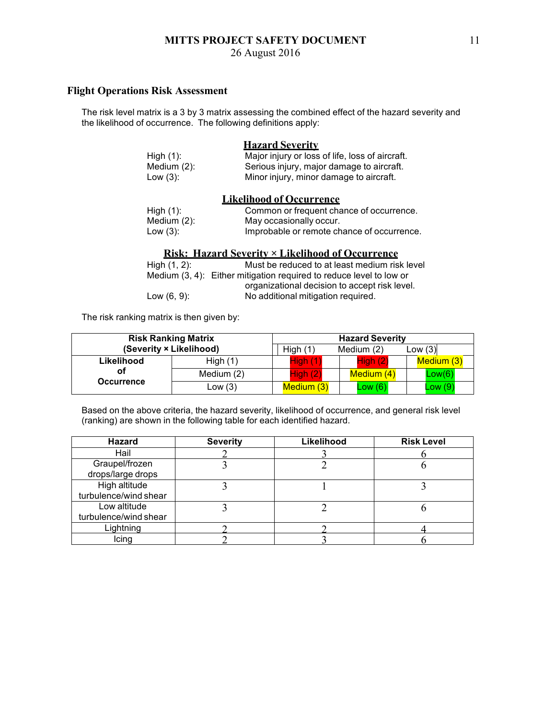# **MITTS PROJECT SAFETY DOCUMENT**

# 26 August 2016

#### **Flight Operations Risk Assessment**

The risk level matrix is a 3 by 3 matrix assessing the combined effect of the hazard severity and the likelihood of occurrence. The following definitions apply:

#### **Hazard Severity**

| High $(1)$ :   | Major injury or loss of life, loss of aircraft. |
|----------------|-------------------------------------------------|
| Medium $(2)$ : | Serious injury, major damage to aircraft.       |
| Low $(3)$ :    | Minor injury, minor damage to aircraft.         |
|                | <b>Likelihood of Occurrence</b>                 |
| High $(1)$ :   | Common or frequent chance of occurrence.        |
| Medium $(2)$   | May occasionally occur                          |

Medium (2): May occasionally occur.<br>
Low (3): Improbable or remote ch Improbable or remote chance of occurrence.

#### **Risk: Hazard Severity × Likelihood of Occurrence**

| Must be reduced to at least medium risk level                       |
|---------------------------------------------------------------------|
| Medium (3, 4): Either mitigation required to reduce level to low or |
| organizational decision to accept risk level.                       |
| No additional mitigation required.                                  |
|                                                                     |

The risk ranking matrix is then given by:

|                   | <b>Risk Ranking Matrix</b> |            | <b>Hazard Severity</b> |            |
|-------------------|----------------------------|------------|------------------------|------------|
|                   | (Severity × Likelihood)    | High(1)    | Medium (2)             | Low $(3)$  |
| Likelihood        | High $(1)$                 | High(1)    | High(2)                | Medium (3) |
| οf                | Medium (2)                 | High(2)    | Medium (4)             | Low(6)     |
| <b>Occurrence</b> | Low $(3)$                  | Medium (3) | Low(6)                 | Low(9)     |

Based on the above criteria, the hazard severity, likelihood of occurrence, and general risk level (ranking) are shown in the following table for each identified hazard.

| <b>Hazard</b>                          | <b>Severity</b> | Likelihood | <b>Risk Level</b> |
|----------------------------------------|-----------------|------------|-------------------|
| Hail                                   |                 |            |                   |
| Graupel/frozen<br>drops/large drops    |                 |            |                   |
| High altitude<br>turbulence/wind shear |                 |            |                   |
| Low altitude<br>turbulence/wind shear  |                 |            |                   |
| Lightning                              |                 |            |                   |
| Icing                                  |                 |            |                   |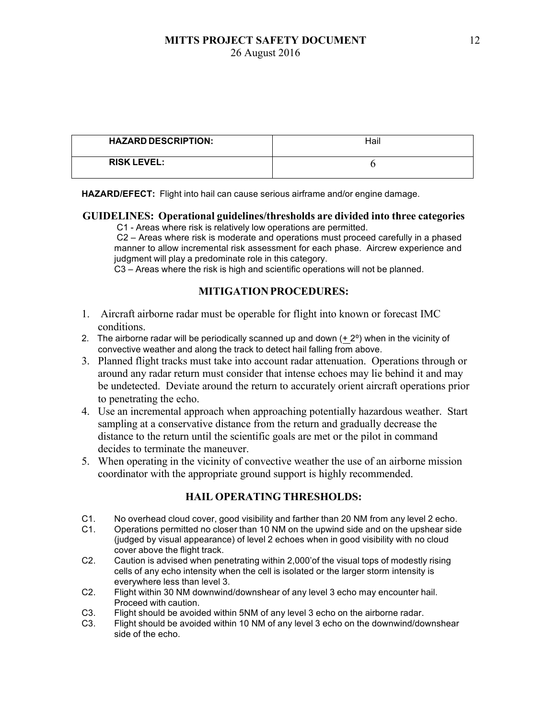| <b>HAZARD DESCRIPTION:</b> | Hail |
|----------------------------|------|
| <b>RISK LEVEL:</b>         |      |

**HAZARD/EFECT:** Flight into hail can cause serious airframe and/or engine damage.

# **GUIDELINES: Operational guidelines/thresholds are divided into three categories**

C1 - Areas where risk is relatively low operations are permitted.

C2 – Areas where risk is moderate and operations must proceed carefully in a phased manner to allow incremental risk assessment for each phase. Aircrew experience and judgment will play a predominate role in this category.

C3 – Areas where the risk is high and scientific operations will not be planned.

#### **MITIGATIONPROCEDURES:**

- 1. Aircraft airborne radar must be operable for flight into known or forecast IMC conditions.
- 2. The airborne radar will be periodically scanned up and down  $(+ 2<sup>o</sup>)$  when in the vicinity of convective weather and along the track to detect hail falling from above.
- 3. Planned flight tracks must take into account radar attenuation. Operations through or around any radar return must consider that intense echoes may lie behind it and may be undetected. Deviate around the return to accurately orient aircraft operations prior to penetrating the echo.
- 4. Use an incremental approach when approaching potentially hazardous weather. Start sampling at a conservative distance from the return and gradually decrease the distance to the return until the scientific goals are met or the pilot in command decides to terminate the maneuver.
- 5. When operating in the vicinity of convective weather the use of an airborne mission coordinator with the appropriate ground support is highly recommended.

## **HAIL OPERATING THRESHOLDS:**

- C1. No overhead cloud cover, good visibility and farther than 20 NM from any level 2 echo.
- C1. Operations permitted no closer than 10 NM on the upwind side and on the upshear side (judged by visual appearance) of level 2 echoes when in good visibility with no cloud cover above the flight track.
- C2. Caution is advised when penetrating within 2,000'of the visual tops of modestly rising cells of any echo intensity when the cell is isolated or the larger storm intensity is everywhere less than level 3.
- C2. Flight within 30 NM downwind/downshear of any level 3 echo may encounter hail. Proceed with caution.
- C3. Flight should be avoided within 5NM of any level 3 echo on the airborne radar.
- C3. Flight should be avoided within 10 NM of any level 3 echo on the downwind/downshear side of the echo.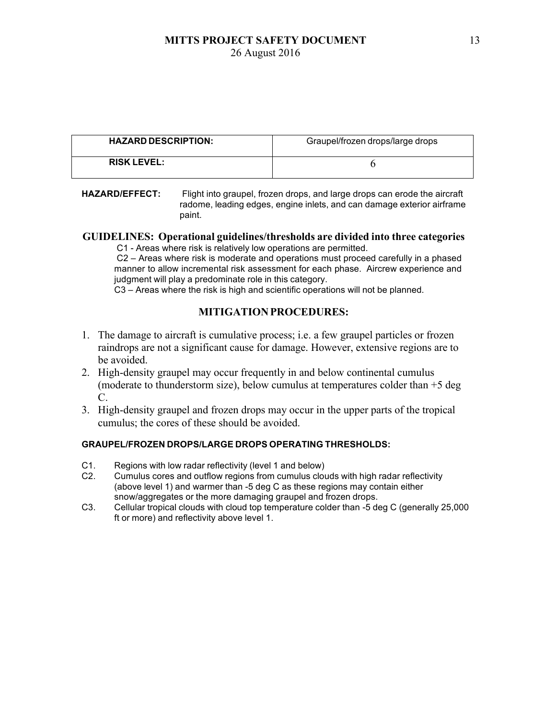| <b>HAZARD DESCRIPTION:</b> | Graupel/frozen drops/large drops |
|----------------------------|----------------------------------|
| <b>RISK LEVEL:</b>         |                                  |

**HAZARD/EFFECT:** Flight into graupel, frozen drops, and large drops can erode the aircraft radome, leading edges, engine inlets, and can damage exterior airframe paint.

#### **GUIDELINES: Operational guidelines/thresholds are divided into three categories** C1 - Areas where risk is relatively low operations are permitted.

C2 – Areas where risk is moderate and operations must proceed carefully in a phased manner to allow incremental risk assessment for each phase. Aircrew experience and judgment will play a predominate role in this category.

C3 – Areas where the risk is high and scientific operations will not be planned.

#### **MITIGATIONPROCEDURES:**

- 1. The damage to aircraft is cumulative process; i.e. a few graupel particles or frozen raindrops are not a significant cause for damage. However, extensive regions are to be avoided.
- 2. High-density graupel may occur frequently in and below continental cumulus (moderate to thunderstorm size), below cumulus at temperatures colder than +5 deg  $\mathcal{C}$
- 3. High-density graupel and frozen drops may occur in the upper parts of the tropical cumulus; the cores of these should be avoided.

#### **GRAUPEL/FROZEN DROPS/LARGE DROPS OPERATING THRESHOLDS:**

- C1. Regions with low radar reflectivity (level 1 and below)
- C2. Cumulus cores and outflow regions from cumulus clouds with high radar reflectivity (above level 1) and warmer than -5 deg C as these regions may contain either snow/aggregates or the more damaging graupel and frozen drops.
- C3. Cellular tropical clouds with cloud top temperature colder than -5 deg C (generally 25,000 ft or more) and reflectivity above level 1.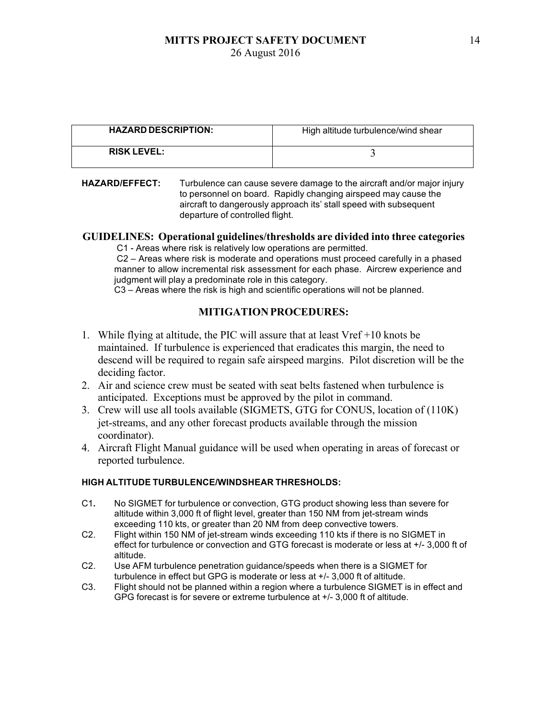| <b>HAZARD DESCRIPTION:</b> | High altitude turbulence/wind shear |
|----------------------------|-------------------------------------|
| <b>RISK LEVEL:</b>         |                                     |

**HAZARD/EFFECT:** Turbulence can cause severe damage to the aircraft and/or major injury to personnel on board. Rapidly changing airspeed may cause the aircraft to dangerously approach its' stall speed with subsequent departure of controlled flight.

#### **GUIDELINES: Operational guidelines/thresholds are divided into three categories** C1 - Areas where risk is relatively low operations are permitted.

C2 – Areas where risk is moderate and operations must proceed carefully in a phased manner to allow incremental risk assessment for each phase. Aircrew experience and judgment will play a predominate role in this category.

C3 – Areas where the risk is high and scientific operations will not be planned.

#### **MITIGATIONPROCEDURES:**

- 1. While flying at altitude, the PIC will assure that at least Vref +10 knots be maintained. If turbulence is experienced that eradicates this margin, the need to descend will be required to regain safe airspeed margins. Pilot discretion will be the deciding factor.
- 2. Air and science crew must be seated with seat belts fastened when turbulence is anticipated. Exceptions must be approved by the pilot in command.
- 3. Crew will use all tools available (SIGMETS, GTG for CONUS, location of (110K) jet-streams, and any other forecast products available through the mission coordinator).
- 4. Aircraft Flight Manual guidance will be used when operating in areas of forecast or reported turbulence.

#### **HIGH ALTITUDE TURBULENCE/WINDSHEAR THRESHOLDS:**

- C1**.** No SIGMET for turbulence or convection, GTG product showing less than severe for altitude within 3,000 ft of flight level, greater than 150 NM from jet-stream winds exceeding 110 kts, or greater than 20 NM from deep convective towers.
- C2. Flight within 150 NM of jet-stream winds exceeding 110 kts if there is no SIGMET in effect for turbulence or convection and GTG forecast is moderate or less at +/- 3,000 ft of altitude.
- C2. Use AFM turbulence penetration guidance/speeds when there is a SIGMET for turbulence in effect but GPG is moderate or less at +/- 3,000 ft of altitude.
- C3. Flight should not be planned within a region where a turbulence SIGMET is in effect and GPG forecast is for severe or extreme turbulence at +/- 3,000 ft of altitude.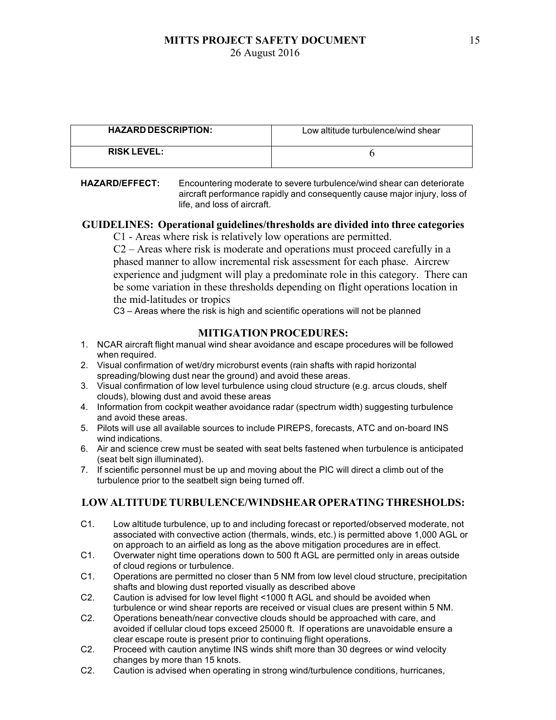| <b>HAZARD DESCRIPTION:</b> | Low altitude turbulence/wind shear |
|----------------------------|------------------------------------|
| <b>RISK LEVEL:</b>         |                                    |

**HAZARD/EFFECT:** Encountering moderate to severe turbulence/wind shear can deteriorate aircraft performance rapidly and consequently cause major injury, loss of life, and loss of aircraft.

# **GUIDELINES: Operational guidelines/thresholds are divided into three categories**

C1 - Areas where risk is relatively low operations are permitted.

C2 – Areas where risk is moderate and operations must proceed carefully in a phased manner to allow incremental risk assessment for each phase. Aircrew experience and judgment will play a predominate role in this category. There can be some variation in these thresholds depending on flight operations location in the mid-latitudes or tropics

C3 – Areas where the risk is high and scientific operations will not be planned

#### **MITIGATIONPROCEDURES:**

- 1. NCAR aircraft flight manual wind shear avoidance and escape procedures will be followed when required.
- 2. Visual confirmation of wet/dry microburst events (rain shafts with rapid horizontal spreading/blowing dust near the ground) and avoid these areas.
- 3. Visual confirmation of low level turbulence using cloud structure (e.g. arcus clouds, shelf clouds), blowing dust and avoid these areas
- 4. Information from cockpit weather avoidance radar (spectrum width) suggesting turbulence and avoid these areas.
- 5. Pilots will use all available sources to include PIREPS, forecasts, ATC and on-board INS wind indications.
- 6. Air and science crew must be seated with seat belts fastened when turbulence is anticipated (seat belt sign illuminated).
- 7. If scientific personnel must be up and moving about the PIC will direct a climb out of the turbulence prior to the seatbelt sign being turned off.

## **LOW ALTITUDE TURBULENCE/WINDSHEAR OPERATING THRESHOLDS:**

- C1. Low altitude turbulence, up to and including forecast or reported/observed moderate, not associated with convective action (thermals, winds, etc.) is permitted above 1,000 AGL or on approach to an airfield as long as the above mitigation procedures are in effect.
- C1. Overwater night time operations down to 500 ft AGL are permitted only in areas outside of cloud regions or turbulence.
- C1. Operations are permitted no closer than 5 NM from low level cloud structure, precipitation shafts and blowing dust reported visually as described above
- C2. Caution is advised for low level flight <1000 ft AGL and should be avoided when turbulence or wind shear reports are received or visual clues are present within 5 NM.
- C2. Operations beneath/near convective clouds should be approached with care, and avoided if cellular cloud tops exceed 25000 ft. If operations are unavoidable ensure a clear escape route is present prior to continuing flight operations.
- C2. Proceed with caution anytime INS winds shift more than 30 degrees or wind velocity changes by more than 15 knots.
- C2. Caution is advised when operating in strong wind/turbulence conditions, hurricanes,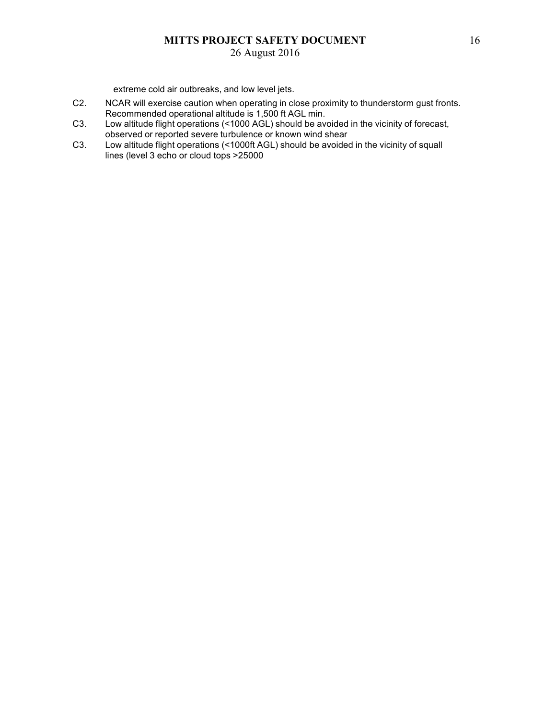## **MITTS PROJECT SAFETY DOCUMENT**

26 August 2016

extreme cold air outbreaks, and low level jets.

- C2. NCAR will exercise caution when operating in close proximity to thunderstorm gust fronts. Recommended operational altitude is 1,500 ft AGL min.
- C3. Low altitude flight operations (<1000 AGL) should be avoided in the vicinity of forecast, observed or reported severe turbulence or known wind shear
- C3. Low altitude flight operations (<1000ft AGL) should be avoided in the vicinity of squall lines (level 3 echo or cloud tops >25000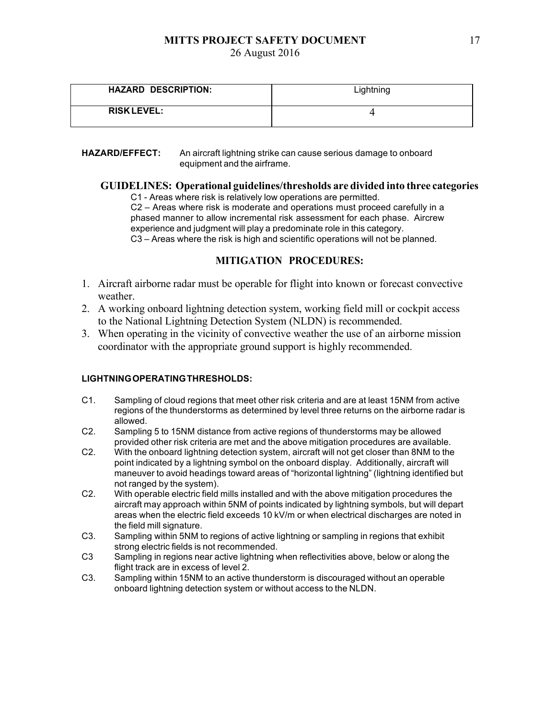| <b>HAZARD DESCRIPTION:</b> | Lightning |
|----------------------------|-----------|
| <b>RISK LEVEL:</b>         |           |

#### **HAZARD/EFFECT:** An aircraft lightning strike can cause serious damage to onboard equipment and the airframe.

#### **GUIDELINES: Operational guidelines/thresholds are divided into three categories**

C1 - Areas where risk is relatively low operations are permitted.

C2 – Areas where risk is moderate and operations must proceed carefully in a phased manner to allow incremental risk assessment for each phase. Aircrew experience and judgment will play a predominate role in this category. C3 – Areas where the risk is high and scientific operations will not be planned.

#### **MITIGATION PROCEDURES:**

- 1. Aircraft airborne radar must be operable for flight into known or forecast convective weather.
- 2. A working onboard lightning detection system, working field mill or cockpit access to the National Lightning Detection System (NLDN) is recommended.
- 3. When operating in the vicinity of convective weather the use of an airborne mission coordinator with the appropriate ground support is highly recommended.

#### **LIGHTNINGOPERATINGTHRESHOLDS:**

- C1. Sampling of cloud regions that meet other risk criteria and are at least 15NM from active regions of the thunderstorms as determined by level three returns on the airborne radar is allowed.
- C2. Sampling 5 to 15NM distance from active regions of thunderstorms may be allowed provided other risk criteria are met and the above mitigation procedures are available.
- C2. With the onboard lightning detection system, aircraft will not get closer than 8NM to the point indicated by a lightning symbol on the onboard display. Additionally, aircraft will maneuver to avoid headings toward areas of "horizontal lightning" (lightning identified but not ranged by the system).
- C2. With operable electric field mills installed and with the above mitigation procedures the aircraft may approach within 5NM of points indicated by lightning symbols, but will depart areas when the electric field exceeds 10 kV/m or when electrical discharges are noted in the field mill signature.
- C3. Sampling within 5NM to regions of active lightning or sampling in regions that exhibit strong electric fields is not recommended.
- C3 Sampling in regions near active lightning when reflectivities above, below or along the flight track are in excess of level 2.
- C3. Sampling within 15NM to an active thunderstorm is discouraged without an operable onboard lightning detection system or without access to the NLDN.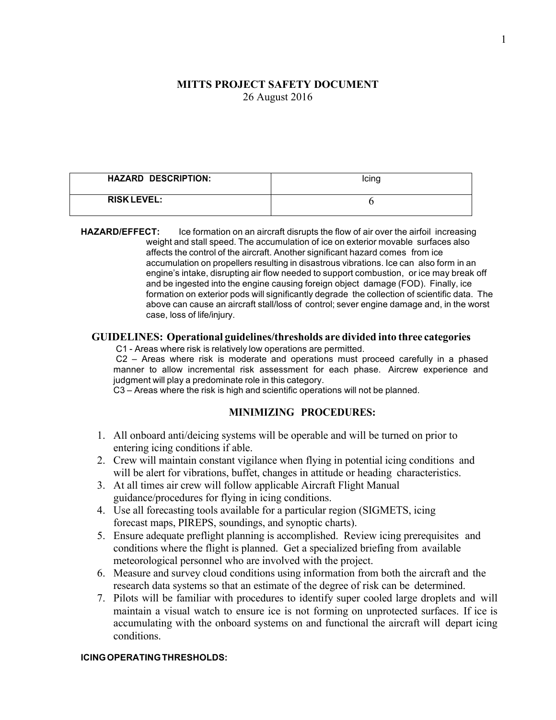| <b>HAZARD DESCRIPTION:</b> | lcing |
|----------------------------|-------|
| <b>RISK LEVEL:</b>         |       |

**HAZARD/EFFECT:** Ice formation on an aircraft disrupts the flow of air over the airfoil increasing weight and stall speed. The accumulation of ice on exterior movable surfaces also affects the control of the aircraft. Another significant hazard comes from ice accumulation on propellers resulting in disastrous vibrations. Ice can also form in an engine's intake, disrupting air flow needed to support combustion, or ice may break off and be ingested into the engine causing foreign object damage (FOD). Finally, ice formation on exterior pods will significantly degrade the collection of scientific data. The above can cause an aircraft stall/loss of control; sever engine damage and, in the worst case, loss of life/injury.

#### **GUIDELINES: Operational guidelines/thresholds are divided into three categories**

C1 - Areas where risk is relatively low operations are permitted.

C2 – Areas where risk is moderate and operations must proceed carefully in a phased manner to allow incremental risk assessment for each phase. Aircrew experience and judgment will play a predominate role in this category.

C3 – Areas where the risk is high and scientific operations will not be planned.

#### **MINIMIZING PROCEDURES:**

- 1. All onboard anti/deicing systems will be operable and will be turned on prior to entering icing conditions if able.
- 2. Crew will maintain constant vigilance when flying in potential icing conditions and will be alert for vibrations, buffet, changes in attitude or heading characteristics.
- 3. At all times air crew will follow applicable Aircraft Flight Manual guidance/procedures for flying in icing conditions.
- 4. Use all forecasting tools available for a particular region (SIGMETS, icing forecast maps, PIREPS, soundings, and synoptic charts).
- 5. Ensure adequate preflight planning is accomplished. Review icing prerequisites and conditions where the flight is planned. Get a specialized briefing from available meteorological personnel who are involved with the project.
- 6. Measure and survey cloud conditions using information from both the aircraft and the research data systems so that an estimate of the degree of risk can be determined.
- 7. Pilots will be familiar with procedures to identify super cooled large droplets and will maintain a visual watch to ensure ice is not forming on unprotected surfaces. If ice is accumulating with the onboard systems on and functional the aircraft will depart icing conditions.

#### **ICINGOPERATINGTHRESHOLDS:**